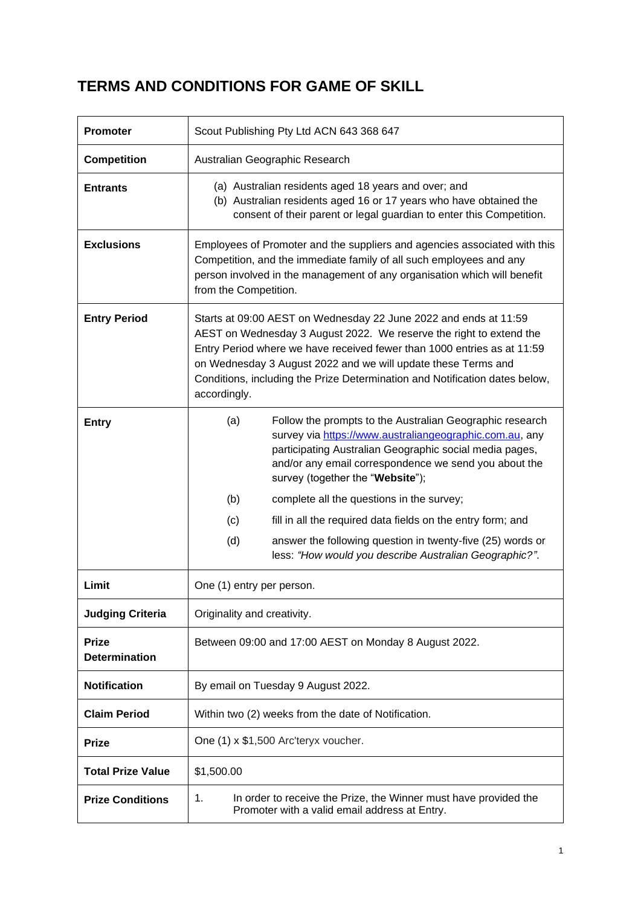# **TERMS AND CONDITIONS FOR GAME OF SKILL**

| <b>Promoter</b>                      | Scout Publishing Pty Ltd ACN 643 368 647                                                                                                                                                                                                                                                                                                                                           |  |  |
|--------------------------------------|------------------------------------------------------------------------------------------------------------------------------------------------------------------------------------------------------------------------------------------------------------------------------------------------------------------------------------------------------------------------------------|--|--|
| <b>Competition</b>                   | Australian Geographic Research                                                                                                                                                                                                                                                                                                                                                     |  |  |
| <b>Entrants</b>                      | (a) Australian residents aged 18 years and over; and<br>(b) Australian residents aged 16 or 17 years who have obtained the<br>consent of their parent or legal guardian to enter this Competition.                                                                                                                                                                                 |  |  |
| <b>Exclusions</b>                    | Employees of Promoter and the suppliers and agencies associated with this<br>Competition, and the immediate family of all such employees and any<br>person involved in the management of any organisation which will benefit<br>from the Competition.                                                                                                                              |  |  |
| <b>Entry Period</b>                  | Starts at 09:00 AEST on Wednesday 22 June 2022 and ends at 11:59<br>AEST on Wednesday 3 August 2022. We reserve the right to extend the<br>Entry Period where we have received fewer than 1000 entries as at 11:59<br>on Wednesday 3 August 2022 and we will update these Terms and<br>Conditions, including the Prize Determination and Notification dates below,<br>accordingly. |  |  |
| <b>Entry</b>                         | Follow the prompts to the Australian Geographic research<br>(a)<br>survey via https://www.australiangeographic.com.au, any<br>participating Australian Geographic social media pages,<br>and/or any email correspondence we send you about the<br>survey (together the "Website");                                                                                                 |  |  |
|                                      | (b)<br>complete all the questions in the survey;                                                                                                                                                                                                                                                                                                                                   |  |  |
|                                      | fill in all the required data fields on the entry form; and<br>(c)                                                                                                                                                                                                                                                                                                                 |  |  |
|                                      | answer the following question in twenty-five (25) words or<br>(d)<br>less: "How would you describe Australian Geographic?".                                                                                                                                                                                                                                                        |  |  |
| Limit                                | One (1) entry per person.                                                                                                                                                                                                                                                                                                                                                          |  |  |
| <b>Judging Criteria</b>              | Originality and creativity.                                                                                                                                                                                                                                                                                                                                                        |  |  |
| <b>Prize</b><br><b>Determination</b> | Between 09:00 and 17:00 AEST on Monday 8 August 2022.                                                                                                                                                                                                                                                                                                                              |  |  |
| <b>Notification</b>                  | By email on Tuesday 9 August 2022.                                                                                                                                                                                                                                                                                                                                                 |  |  |
| <b>Claim Period</b>                  | Within two (2) weeks from the date of Notification.                                                                                                                                                                                                                                                                                                                                |  |  |
| <b>Prize</b>                         | One (1) x \$1,500 Arc'teryx voucher.                                                                                                                                                                                                                                                                                                                                               |  |  |
| <b>Total Prize Value</b>             | \$1,500.00                                                                                                                                                                                                                                                                                                                                                                         |  |  |
| <b>Prize Conditions</b>              | 1.<br>In order to receive the Prize, the Winner must have provided the<br>Promoter with a valid email address at Entry.                                                                                                                                                                                                                                                            |  |  |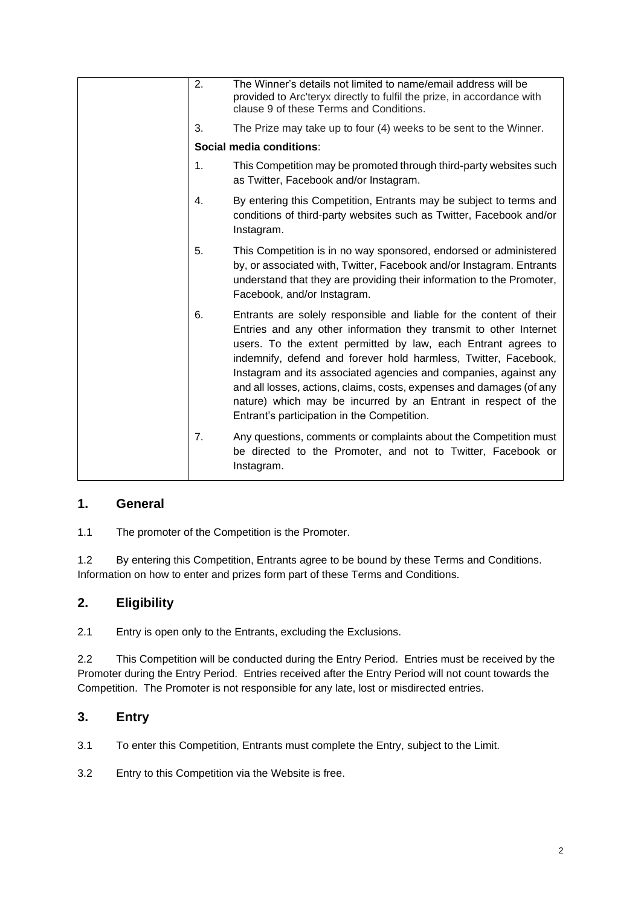| 2.             | The Winner's details not limited to name/email address will be<br>provided to Arc'teryx directly to fulfil the prize, in accordance with<br>clause 9 of these Terms and Conditions.                                                                                                                                                                                                                                                                                                                                                      |
|----------------|------------------------------------------------------------------------------------------------------------------------------------------------------------------------------------------------------------------------------------------------------------------------------------------------------------------------------------------------------------------------------------------------------------------------------------------------------------------------------------------------------------------------------------------|
| 3.             | The Prize may take up to four (4) weeks to be sent to the Winner.                                                                                                                                                                                                                                                                                                                                                                                                                                                                        |
|                | Social media conditions:                                                                                                                                                                                                                                                                                                                                                                                                                                                                                                                 |
| $\mathbf{1}$ . | This Competition may be promoted through third-party websites such<br>as Twitter, Facebook and/or Instagram.                                                                                                                                                                                                                                                                                                                                                                                                                             |
| 4.             | By entering this Competition, Entrants may be subject to terms and<br>conditions of third-party websites such as Twitter, Facebook and/or<br>Instagram.                                                                                                                                                                                                                                                                                                                                                                                  |
| 5.             | This Competition is in no way sponsored, endorsed or administered<br>by, or associated with, Twitter, Facebook and/or Instagram. Entrants<br>understand that they are providing their information to the Promoter,<br>Facebook, and/or Instagram.                                                                                                                                                                                                                                                                                        |
| 6.             | Entrants are solely responsible and liable for the content of their<br>Entries and any other information they transmit to other Internet<br>users. To the extent permitted by law, each Entrant agrees to<br>indemnify, defend and forever hold harmless, Twitter, Facebook,<br>Instagram and its associated agencies and companies, against any<br>and all losses, actions, claims, costs, expenses and damages (of any<br>nature) which may be incurred by an Entrant in respect of the<br>Entrant's participation in the Competition. |
| 7 <sub>1</sub> | Any questions, comments or complaints about the Competition must<br>be directed to the Promoter, and not to Twitter, Facebook or<br>Instagram.                                                                                                                                                                                                                                                                                                                                                                                           |

#### **1. General**

1.1 The promoter of the Competition is the Promoter.

1.2 By entering this Competition, Entrants agree to be bound by these Terms and Conditions. Information on how to enter and prizes form part of these Terms and Conditions.

## **2. Eligibility**

2.1 Entry is open only to the Entrants, excluding the Exclusions.

2.2 This Competition will be conducted during the Entry Period. Entries must be received by the Promoter during the Entry Period. Entries received after the Entry Period will not count towards the Competition. The Promoter is not responsible for any late, lost or misdirected entries.

#### **3. Entry**

3.1 To enter this Competition, Entrants must complete the Entry, subject to the Limit.

3.2 Entry to this Competition via the Website is free.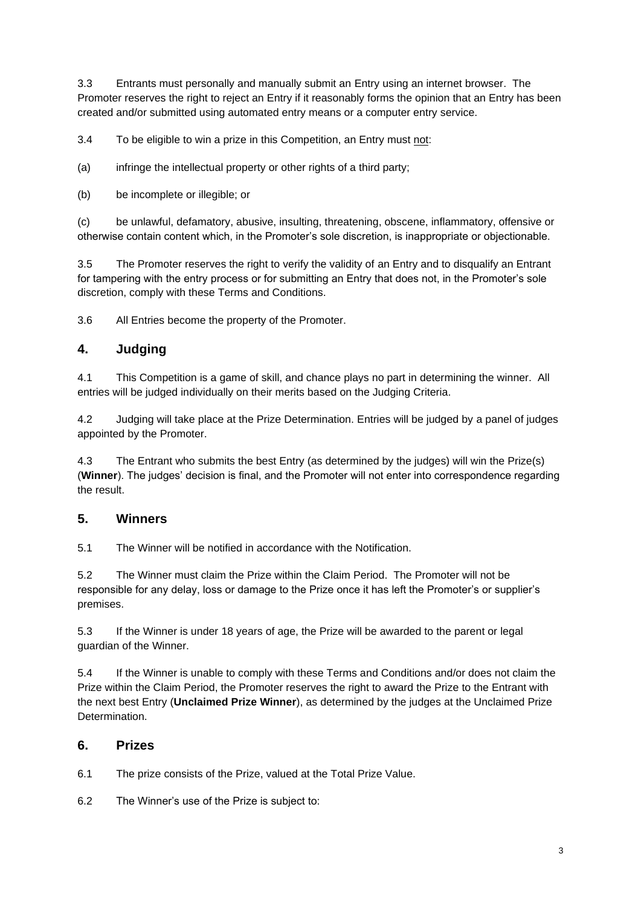3.3 Entrants must personally and manually submit an Entry using an internet browser. The Promoter reserves the right to reject an Entry if it reasonably forms the opinion that an Entry has been created and/or submitted using automated entry means or a computer entry service.

3.4 To be eligible to win a prize in this Competition, an Entry must not:

(a) infringe the intellectual property or other rights of a third party;

(b) be incomplete or illegible; or

(c) be unlawful, defamatory, abusive, insulting, threatening, obscene, inflammatory, offensive or otherwise contain content which, in the Promoter's sole discretion, is inappropriate or objectionable.

3.5 The Promoter reserves the right to verify the validity of an Entry and to disqualify an Entrant for tampering with the entry process or for submitting an Entry that does not, in the Promoter's sole discretion, comply with these Terms and Conditions.

3.6 All Entries become the property of the Promoter.

### **4. Judging**

4.1 This Competition is a game of skill, and chance plays no part in determining the winner. All entries will be judged individually on their merits based on the Judging Criteria.

4.2 Judging will take place at the Prize Determination. Entries will be judged by a panel of judges appointed by the Promoter.

4.3 The Entrant who submits the best Entry (as determined by the judges) will win the Prize(s) (**Winner**). The judges' decision is final, and the Promoter will not enter into correspondence regarding the result.

#### **5. Winners**

5.1 The Winner will be notified in accordance with the Notification.

5.2 The Winner must claim the Prize within the Claim Period. The Promoter will not be responsible for any delay, loss or damage to the Prize once it has left the Promoter's or supplier's premises.

5.3 If the Winner is under 18 years of age, the Prize will be awarded to the parent or legal guardian of the Winner.

5.4 If the Winner is unable to comply with these Terms and Conditions and/or does not claim the Prize within the Claim Period, the Promoter reserves the right to award the Prize to the Entrant with the next best Entry (**Unclaimed Prize Winner**), as determined by the judges at the Unclaimed Prize **Determination** 

#### **6. Prizes**

6.1 The prize consists of the Prize, valued at the Total Prize Value.

6.2 The Winner's use of the Prize is subject to: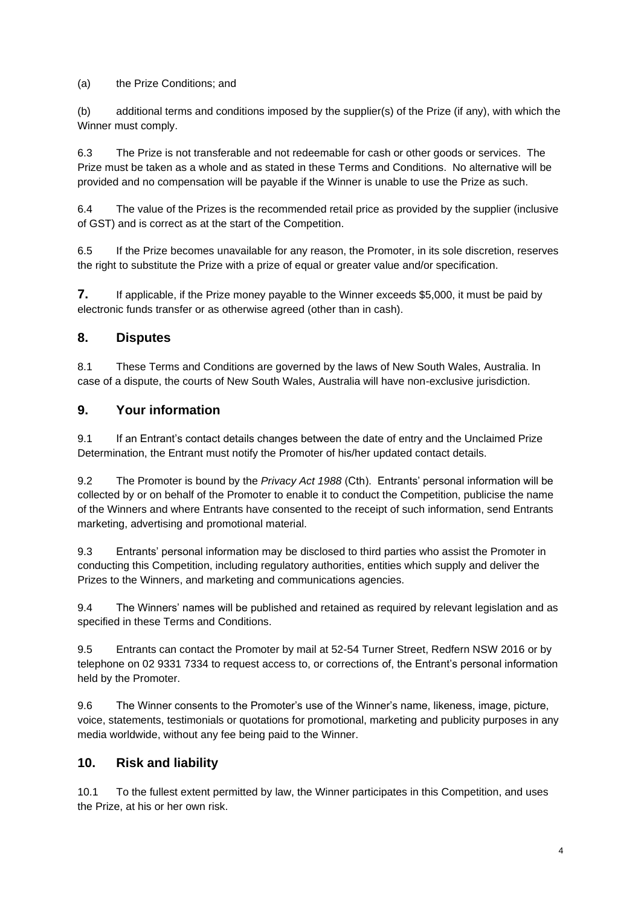#### (a) the Prize Conditions; and

(b) additional terms and conditions imposed by the supplier(s) of the Prize (if any), with which the Winner must comply.

6.3 The Prize is not transferable and not redeemable for cash or other goods or services. The Prize must be taken as a whole and as stated in these Terms and Conditions. No alternative will be provided and no compensation will be payable if the Winner is unable to use the Prize as such.

6.4 The value of the Prizes is the recommended retail price as provided by the supplier (inclusive of GST) and is correct as at the start of the Competition.

6.5 If the Prize becomes unavailable for any reason, the Promoter, in its sole discretion, reserves the right to substitute the Prize with a prize of equal or greater value and/or specification.

**7.** If applicable, if the Prize money payable to the Winner exceeds \$5,000, it must be paid by electronic funds transfer or as otherwise agreed (other than in cash).

#### **8. Disputes**

8.1 These Terms and Conditions are governed by the laws of New South Wales, Australia. In case of a dispute, the courts of New South Wales, Australia will have non-exclusive jurisdiction.

### **9. Your information**

9.1 If an Entrant's contact details changes between the date of entry and the Unclaimed Prize Determination, the Entrant must notify the Promoter of his/her updated contact details.

9.2 The Promoter is bound by the *Privacy Act 1988* (Cth). Entrants' personal information will be collected by or on behalf of the Promoter to enable it to conduct the Competition, publicise the name of the Winners and where Entrants have consented to the receipt of such information, send Entrants marketing, advertising and promotional material.

9.3 Entrants' personal information may be disclosed to third parties who assist the Promoter in conducting this Competition, including regulatory authorities, entities which supply and deliver the Prizes to the Winners, and marketing and communications agencies.

9.4 The Winners' names will be published and retained as required by relevant legislation and as specified in these Terms and Conditions.

9.5 Entrants can contact the Promoter by mail at 52-54 Turner Street, Redfern NSW 2016 or by telephone on 02 9331 7334 to request access to, or corrections of, the Entrant's personal information held by the Promoter.

9.6 The Winner consents to the Promoter's use of the Winner's name, likeness, image, picture, voice, statements, testimonials or quotations for promotional, marketing and publicity purposes in any media worldwide, without any fee being paid to the Winner.

#### **10. Risk and liability**

10.1 To the fullest extent permitted by law, the Winner participates in this Competition, and uses the Prize, at his or her own risk.